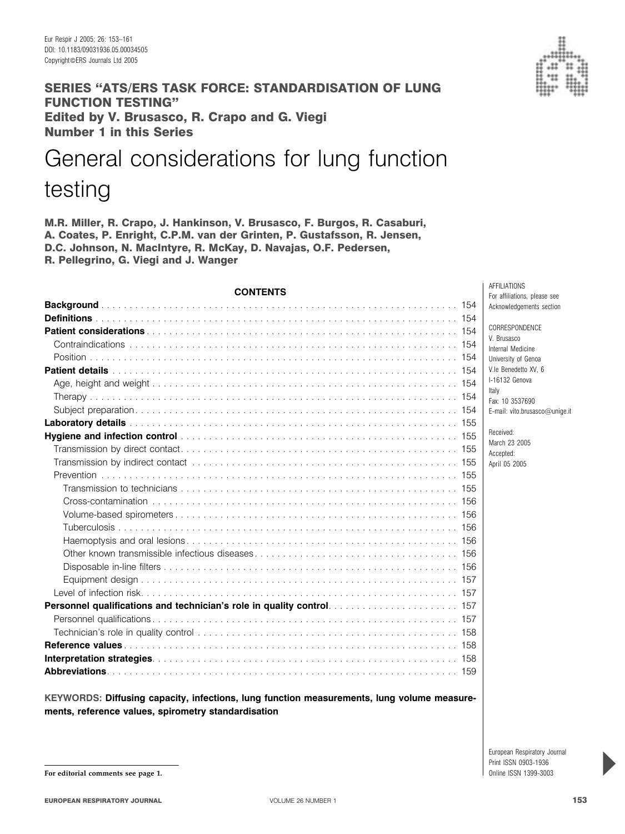

## SERIES ''ATS/ERS TASK FORCE: STANDARDISATION OF LUNG FUNCTION TESTING'' Edited by V. Brusasco, R. Crapo and G. Viegi Number 1 in this Series

# General considerations for lung function testing

M.R. Miller, R. Crapo, J. Hankinson, V. Brusasco, F. Burgos, R. Casaburi, A. Coates, P. Enright, C.P.M. van der Grinten, P. Gustafsson, R. Jensen, D.C. Johnson, N. MacIntyre, R. McKay, D. Navajas, O.F. Pedersen, R. Pellegrino, G. Viegi and J. Wanger

| <b>CONTENTS</b> | <b>AFFILIATIONS</b><br>For affiliations, please see |                                  |
|-----------------|-----------------------------------------------------|----------------------------------|
|                 |                                                     | Acknowledgements section         |
|                 |                                                     |                                  |
|                 |                                                     | CORRESPONDENCE                   |
|                 |                                                     | V. Brusasco<br>Internal Medicine |
|                 |                                                     | University of Genoa              |
|                 |                                                     | V.le Benedetto XV, 6             |
|                 |                                                     | I-16132 Genova                   |
|                 |                                                     | Italy<br>Fax: 10 3537690         |
|                 |                                                     | E-mail: vito.brusasco@unige.it   |
|                 |                                                     |                                  |
|                 |                                                     | Received:                        |
|                 |                                                     | March 23 2005<br>Accepted:       |
|                 |                                                     | April 05 2005                    |
|                 |                                                     |                                  |
|                 |                                                     |                                  |
|                 |                                                     |                                  |
|                 |                                                     |                                  |
|                 |                                                     |                                  |
|                 |                                                     |                                  |
|                 |                                                     |                                  |
|                 |                                                     |                                  |
|                 |                                                     |                                  |
|                 |                                                     |                                  |
|                 |                                                     |                                  |
|                 |                                                     |                                  |
|                 |                                                     |                                  |
|                 |                                                     |                                  |
|                 |                                                     |                                  |
|                 |                                                     |                                  |
|                 |                                                     |                                  |

KEYWORDS: Diffusing capacity, infections, lung function measurements, lung volume measurements, reference values, spirometry standardisation

> European Respiratory Journal Print ISSN 0903-1936

For editorial comments see page 1. Online ISSN 1399-3003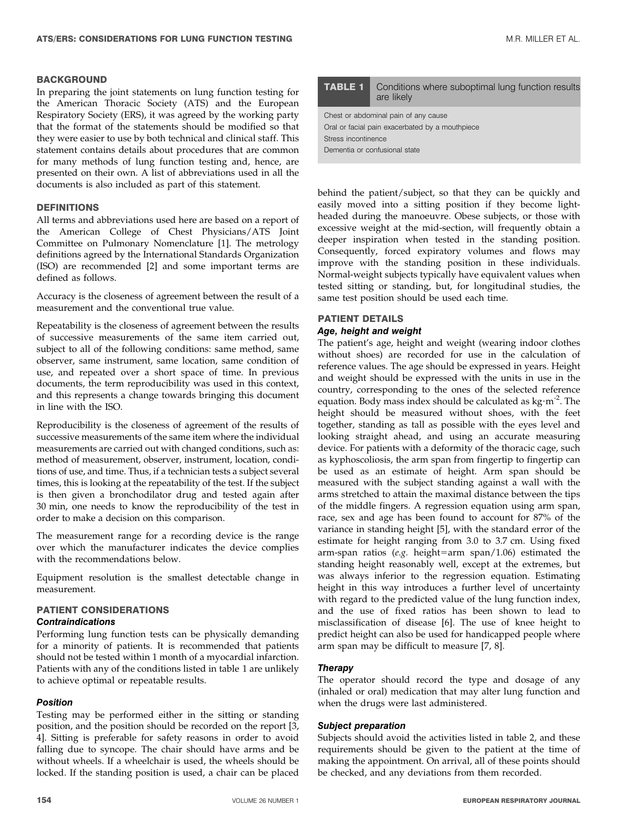#### **BACKGROUND**

In preparing the joint statements on lung function testing for the American Thoracic Society (ATS) and the European Respiratory Society (ERS), it was agreed by the working party that the format of the statements should be modified so that they were easier to use by both technical and clinical staff. This statement contains details about procedures that are common for many methods of lung function testing and, hence, are presented on their own. A list of abbreviations used in all the documents is also included as part of this statement.

#### **DEFINITIONS**

All terms and abbreviations used here are based on a report of the American College of Chest Physicians/ATS Joint Committee on Pulmonary Nomenclature [1]. The metrology definitions agreed by the International Standards Organization (ISO) are recommended [2] and some important terms are defined as follows.

Accuracy is the closeness of agreement between the result of a measurement and the conventional true value.

Repeatability is the closeness of agreement between the results of successive measurements of the same item carried out, subject to all of the following conditions: same method, same observer, same instrument, same location, same condition of use, and repeated over a short space of time. In previous documents, the term reproducibility was used in this context, and this represents a change towards bringing this document in line with the ISO.

Reproducibility is the closeness of agreement of the results of successive measurements of the same item where the individual measurements are carried out with changed conditions, such as: method of measurement, observer, instrument, location, conditions of use, and time. Thus, if a technician tests a subject several times, this is looking at the repeatability of the test. If the subject is then given a bronchodilator drug and tested again after 30 min, one needs to know the reproducibility of the test in order to make a decision on this comparison.

The measurement range for a recording device is the range over which the manufacturer indicates the device complies with the recommendations below.

Equipment resolution is the smallest detectable change in measurement.

### PATIENT CONSIDERATIONS

#### **Contraindications**

Performing lung function tests can be physically demanding for a minority of patients. It is recommended that patients should not be tested within 1 month of a myocardial infarction. Patients with any of the conditions listed in table 1 are unlikely to achieve optimal or repeatable results.

#### Position

Testing may be performed either in the sitting or standing position, and the position should be recorded on the report [3, 4]. Sitting is preferable for safety reasons in order to avoid falling due to syncope. The chair should have arms and be without wheels. If a wheelchair is used, the wheels should be locked. If the standing position is used, a chair can be placed



behind the patient/subject, so that they can be quickly and easily moved into a sitting position if they become lightheaded during the manoeuvre. Obese subjects, or those with excessive weight at the mid-section, will frequently obtain a deeper inspiration when tested in the standing position. Consequently, forced expiratory volumes and flows may improve with the standing position in these individuals. Normal-weight subjects typically have equivalent values when tested sitting or standing, but, for longitudinal studies, the same test position should be used each time.

# PATIENT DETAILS

#### Age, height and weight

The patient's age, height and weight (wearing indoor clothes without shoes) are recorded for use in the calculation of reference values. The age should be expressed in years. Height and weight should be expressed with the units in use in the country, corresponding to the ones of the selected reference equation. Body mass index should be calculated as  $kg·m<sup>-2</sup>$ . The height should be measured without shoes, with the feet together, standing as tall as possible with the eyes level and looking straight ahead, and using an accurate measuring device. For patients with a deformity of the thoracic cage, such as kyphoscoliosis, the arm span from fingertip to fingertip can be used as an estimate of height. Arm span should be measured with the subject standing against a wall with the arms stretched to attain the maximal distance between the tips of the middle fingers. A regression equation using arm span, race, sex and age has been found to account for 87% of the variance in standing height [5], with the standard error of the estimate for height ranging from 3.0 to 3.7 cm. Using fixed arm-span ratios (e.g. height=arm span/1.06) estimated the standing height reasonably well, except at the extremes, but was always inferior to the regression equation. Estimating height in this way introduces a further level of uncertainty with regard to the predicted value of the lung function index, and the use of fixed ratios has been shown to lead to misclassification of disease [6]. The use of knee height to predict height can also be used for handicapped people where arm span may be difficult to measure [7, 8].

#### **Therapy**

The operator should record the type and dosage of any (inhaled or oral) medication that may alter lung function and when the drugs were last administered.

#### Subject preparation

Subjects should avoid the activities listed in table 2, and these requirements should be given to the patient at the time of making the appointment. On arrival, all of these points should be checked, and any deviations from them recorded.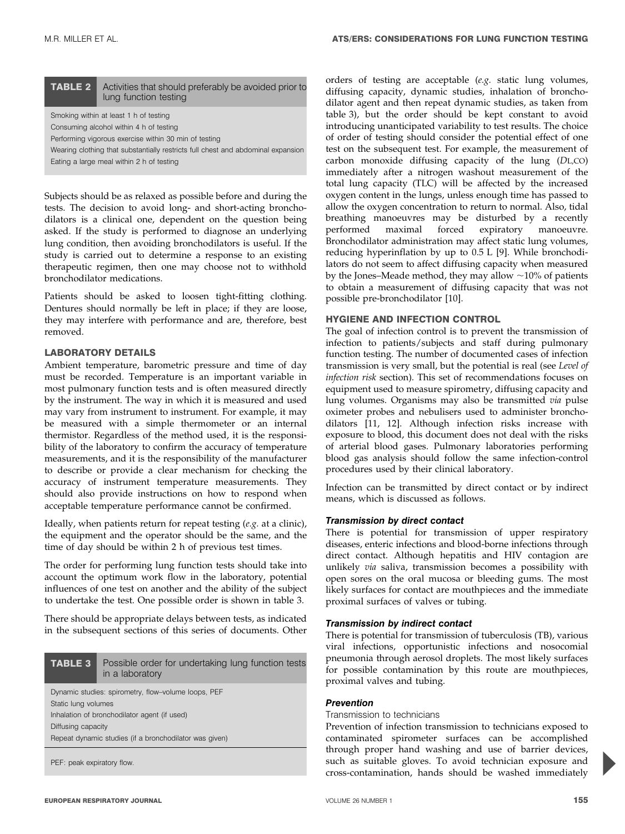## TABLE 2 Activities that should preferably be avoided prior to lung function testing

Smoking within at least 1 h of testing Consuming alcohol within 4 h of testing

Performing vigorous exercise within 30 min of testing

Wearing clothing that substantially restricts full chest and abdominal expansion Eating a large meal within 2 h of testing

Subjects should be as relaxed as possible before and during the tests. The decision to avoid long- and short-acting bronchodilators is a clinical one, dependent on the question being asked. If the study is performed to diagnose an underlying lung condition, then avoiding bronchodilators is useful. If the study is carried out to determine a response to an existing therapeutic regimen, then one may choose not to withhold bronchodilator medications.

Patients should be asked to loosen tight-fitting clothing. Dentures should normally be left in place; if they are loose, they may interfere with performance and are, therefore, best removed.

#### LABORATORY DETAILS

Ambient temperature, barometric pressure and time of day must be recorded. Temperature is an important variable in most pulmonary function tests and is often measured directly by the instrument. The way in which it is measured and used may vary from instrument to instrument. For example, it may be measured with a simple thermometer or an internal thermistor. Regardless of the method used, it is the responsibility of the laboratory to confirm the accuracy of temperature measurements, and it is the responsibility of the manufacturer to describe or provide a clear mechanism for checking the accuracy of instrument temperature measurements. They should also provide instructions on how to respond when acceptable temperature performance cannot be confirmed.

Ideally, when patients return for repeat testing (e.g. at a clinic), the equipment and the operator should be the same, and the time of day should be within 2 h of previous test times.

The order for performing lung function tests should take into account the optimum work flow in the laboratory, potential influences of one test on another and the ability of the subject to undertake the test. One possible order is shown in table 3.

There should be appropriate delays between tests, as indicated in the subsequent sections of this series of documents. Other



PEF: peak expiratory flow.

orders of testing are acceptable (e.g. static lung volumes, diffusing capacity, dynamic studies, inhalation of bronchodilator agent and then repeat dynamic studies, as taken from table 3), but the order should be kept constant to avoid introducing unanticipated variability to test results. The choice of order of testing should consider the potential effect of one test on the subsequent test. For example, the measurement of carbon monoxide diffusing capacity of the lung (DL,CO) immediately after a nitrogen washout measurement of the total lung capacity (TLC) will be affected by the increased oxygen content in the lungs, unless enough time has passed to allow the oxygen concentration to return to normal. Also, tidal breathing manoeuvres may be disturbed by a recently performed maximal forced expiratory manoeuvre. Bronchodilator administration may affect static lung volumes, reducing hyperinflation by up to 0.5 L [9]. While bronchodilators do not seem to affect diffusing capacity when measured by the Jones–Meade method, they may allow  $\sim$ 10% of patients to obtain a measurement of diffusing capacity that was not possible pre-bronchodilator [10].

#### HYGIENE AND INFECTION CONTROL

The goal of infection control is to prevent the transmission of infection to patients/subjects and staff during pulmonary function testing. The number of documented cases of infection transmission is very small, but the potential is real (see Level of infection risk section). This set of recommendations focuses on equipment used to measure spirometry, diffusing capacity and lung volumes. Organisms may also be transmitted via pulse oximeter probes and nebulisers used to administer bronchodilators [11, 12]. Although infection risks increase with exposure to blood, this document does not deal with the risks of arterial blood gases. Pulmonary laboratories performing blood gas analysis should follow the same infection-control procedures used by their clinical laboratory.

Infection can be transmitted by direct contact or by indirect means, which is discussed as follows.

#### Transmission by direct contact

There is potential for transmission of upper respiratory diseases, enteric infections and blood-borne infections through direct contact. Although hepatitis and HIV contagion are unlikely via saliva, transmission becomes a possibility with open sores on the oral mucosa or bleeding gums. The most likely surfaces for contact are mouthpieces and the immediate proximal surfaces of valves or tubing.

#### Transmission by indirect contact

There is potential for transmission of tuberculosis (TB), various viral infections, opportunistic infections and nosocomial pneumonia through aerosol droplets. The most likely surfaces for possible contamination by this route are mouthpieces, proximal valves and tubing.

#### **Prevention**

Transmission to technicians

Prevention of infection transmission to technicians exposed to contaminated spirometer surfaces can be accomplished through proper hand washing and use of barrier devices, such as suitable gloves. To avoid technician exposure and cross-contamination, hands should be washed immediately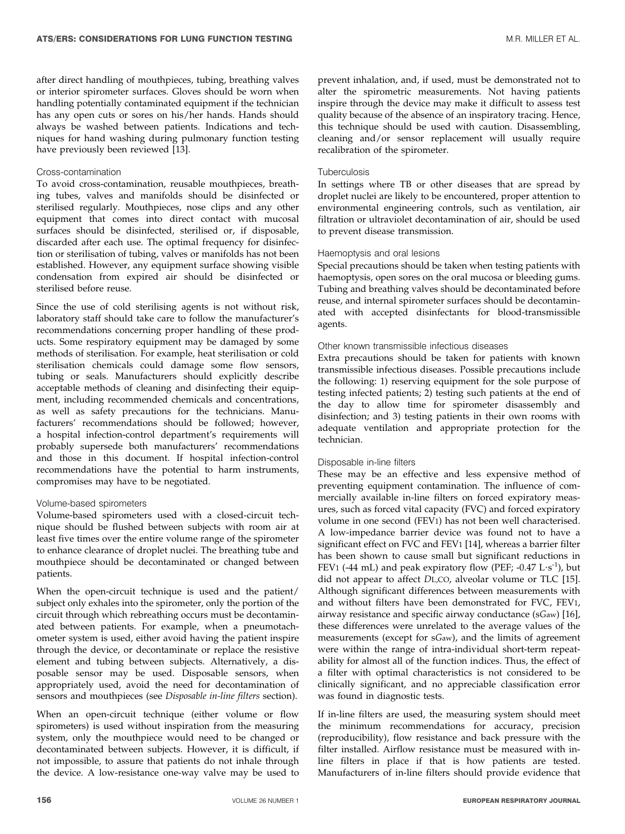after direct handling of mouthpieces, tubing, breathing valves or interior spirometer surfaces. Gloves should be worn when handling potentially contaminated equipment if the technician has any open cuts or sores on his/her hands. Hands should always be washed between patients. Indications and techniques for hand washing during pulmonary function testing have previously been reviewed [13].

#### Cross-contamination

To avoid cross-contamination, reusable mouthpieces, breathing tubes, valves and manifolds should be disinfected or sterilised regularly. Mouthpieces, nose clips and any other equipment that comes into direct contact with mucosal surfaces should be disinfected, sterilised or, if disposable, discarded after each use. The optimal frequency for disinfection or sterilisation of tubing, valves or manifolds has not been established. However, any equipment surface showing visible condensation from expired air should be disinfected or sterilised before reuse.

Since the use of cold sterilising agents is not without risk, laboratory staff should take care to follow the manufacturer's recommendations concerning proper handling of these products. Some respiratory equipment may be damaged by some methods of sterilisation. For example, heat sterilisation or cold sterilisation chemicals could damage some flow sensors, tubing or seals. Manufacturers should explicitly describe acceptable methods of cleaning and disinfecting their equipment, including recommended chemicals and concentrations, as well as safety precautions for the technicians. Manufacturers' recommendations should be followed; however, a hospital infection-control department's requirements will probably supersede both manufacturers' recommendations and those in this document. If hospital infection-control recommendations have the potential to harm instruments, compromises may have to be negotiated.

#### Volume-based spirometers

Volume-based spirometers used with a closed-circuit technique should be flushed between subjects with room air at least five times over the entire volume range of the spirometer to enhance clearance of droplet nuclei. The breathing tube and mouthpiece should be decontaminated or changed between patients.

When the open-circuit technique is used and the patient/ subject only exhales into the spirometer, only the portion of the circuit through which rebreathing occurs must be decontaminated between patients. For example, when a pneumotachometer system is used, either avoid having the patient inspire through the device, or decontaminate or replace the resistive element and tubing between subjects. Alternatively, a disposable sensor may be used. Disposable sensors, when appropriately used, avoid the need for decontamination of sensors and mouthpieces (see Disposable in-line filters section).

When an open-circuit technique (either volume or flow spirometers) is used without inspiration from the measuring system, only the mouthpiece would need to be changed or decontaminated between subjects. However, it is difficult, if not impossible, to assure that patients do not inhale through the device. A low-resistance one-way valve may be used to

prevent inhalation, and, if used, must be demonstrated not to alter the spirometric measurements. Not having patients inspire through the device may make it difficult to assess test quality because of the absence of an inspiratory tracing. Hence, this technique should be used with caution. Disassembling, cleaning and/or sensor replacement will usually require recalibration of the spirometer.

#### **Tuberculosis**

In settings where TB or other diseases that are spread by droplet nuclei are likely to be encountered, proper attention to environmental engineering controls, such as ventilation, air filtration or ultraviolet decontamination of air, should be used to prevent disease transmission.

#### Haemoptysis and oral lesions

Special precautions should be taken when testing patients with haemoptysis, open sores on the oral mucosa or bleeding gums. Tubing and breathing valves should be decontaminated before reuse, and internal spirometer surfaces should be decontaminated with accepted disinfectants for blood-transmissible agents.

#### Other known transmissible infectious diseases

Extra precautions should be taken for patients with known transmissible infectious diseases. Possible precautions include the following: 1) reserving equipment for the sole purpose of testing infected patients; 2) testing such patients at the end of the day to allow time for spirometer disassembly and disinfection; and 3) testing patients in their own rooms with adequate ventilation and appropriate protection for the technician.

#### Disposable in-line filters

These may be an effective and less expensive method of preventing equipment contamination. The influence of commercially available in-line filters on forced expiratory measures, such as forced vital capacity (FVC) and forced expiratory volume in one second (FEV1) has not been well characterised. A low-impedance barrier device was found not to have a significant effect on FVC and FEV1 [14], whereas a barrier filter has been shown to cause small but significant reductions in FEV1 (-44 mL) and peak expiratory flow (PEF; -0.47 L·s<sup>-1</sup>), but did not appear to affect DL,CO, alveolar volume or TLC [15]. Although significant differences between measurements with and without filters have been demonstrated for FVC, FEV1, airway resistance and specific airway conductance (sGaw) [16], these differences were unrelated to the average values of the measurements (except for sGaw), and the limits of agreement were within the range of intra-individual short-term repeatability for almost all of the function indices. Thus, the effect of a filter with optimal characteristics is not considered to be clinically significant, and no appreciable classification error was found in diagnostic tests.

If in-line filters are used, the measuring system should meet the minimum recommendations for accuracy, precision (reproducibility), flow resistance and back pressure with the filter installed. Airflow resistance must be measured with inline filters in place if that is how patients are tested. Manufacturers of in-line filters should provide evidence that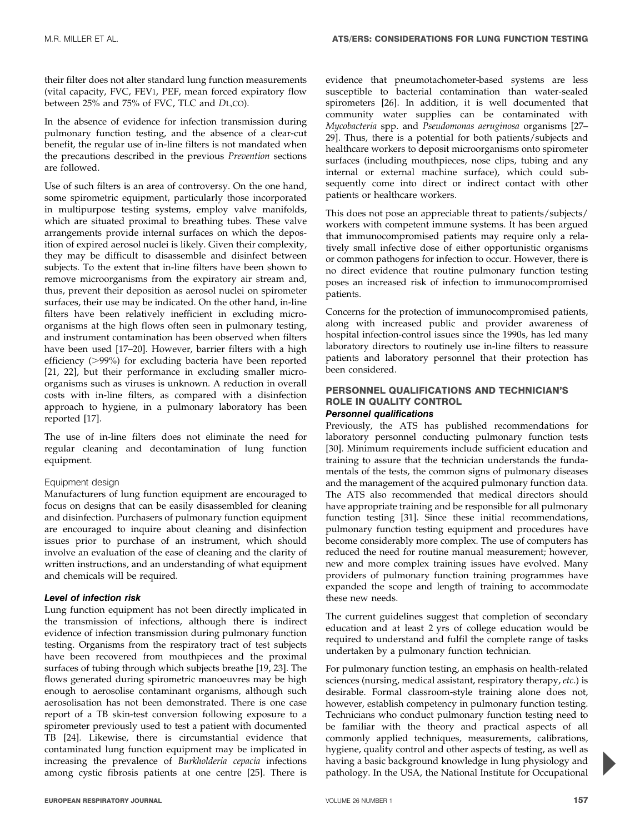their filter does not alter standard lung function measurements (vital capacity, FVC, FEV1, PEF, mean forced expiratory flow between 25% and 75% of FVC, TLC and DL,CO).

In the absence of evidence for infection transmission during pulmonary function testing, and the absence of a clear-cut benefit, the regular use of in-line filters is not mandated when the precautions described in the previous Prevention sections are followed.

Use of such filters is an area of controversy. On the one hand, some spirometric equipment, particularly those incorporated in multipurpose testing systems, employ valve manifolds, which are situated proximal to breathing tubes. These valve arrangements provide internal surfaces on which the deposition of expired aerosol nuclei is likely. Given their complexity, they may be difficult to disassemble and disinfect between subjects. To the extent that in-line filters have been shown to remove microorganisms from the expiratory air stream and, thus, prevent their deposition as aerosol nuclei on spirometer surfaces, their use may be indicated. On the other hand, in-line filters have been relatively inefficient in excluding microorganisms at the high flows often seen in pulmonary testing, and instrument contamination has been observed when filters have been used [17–20]. However, barrier filters with a high efficiency (>99%) for excluding bacteria have been reported [21, 22], but their performance in excluding smaller microorganisms such as viruses is unknown. A reduction in overall costs with in-line filters, as compared with a disinfection approach to hygiene, in a pulmonary laboratory has been reported [17].

The use of in-line filters does not eliminate the need for regular cleaning and decontamination of lung function equipment.

#### Equipment design

Manufacturers of lung function equipment are encouraged to focus on designs that can be easily disassembled for cleaning and disinfection. Purchasers of pulmonary function equipment are encouraged to inquire about cleaning and disinfection issues prior to purchase of an instrument, which should involve an evaluation of the ease of cleaning and the clarity of written instructions, and an understanding of what equipment and chemicals will be required.

#### Level of infection risk

Lung function equipment has not been directly implicated in the transmission of infections, although there is indirect evidence of infection transmission during pulmonary function testing. Organisms from the respiratory tract of test subjects have been recovered from mouthpieces and the proximal surfaces of tubing through which subjects breathe [19, 23]. The flows generated during spirometric manoeuvres may be high enough to aerosolise contaminant organisms, although such aerosolisation has not been demonstrated. There is one case report of a TB skin-test conversion following exposure to a spirometer previously used to test a patient with documented TB [24]. Likewise, there is circumstantial evidence that contaminated lung function equipment may be implicated in increasing the prevalence of Burkholderia cepacia infections among cystic fibrosis patients at one centre [25]. There is evidence that pneumotachometer-based systems are less susceptible to bacterial contamination than water-sealed spirometers [26]. In addition, it is well documented that community water supplies can be contaminated with Mycobacteria spp. and Pseudomonas aeruginosa organisms [27– 29]. Thus, there is a potential for both patients/subjects and healthcare workers to deposit microorganisms onto spirometer surfaces (including mouthpieces, nose clips, tubing and any internal or external machine surface), which could subsequently come into direct or indirect contact with other patients or healthcare workers.

This does not pose an appreciable threat to patients/subjects/ workers with competent immune systems. It has been argued that immunocompromised patients may require only a relatively small infective dose of either opportunistic organisms or common pathogens for infection to occur. However, there is no direct evidence that routine pulmonary function testing poses an increased risk of infection to immunocompromised patients.

Concerns for the protection of immunocompromised patients, along with increased public and provider awareness of hospital infection-control issues since the 1990s, has led many laboratory directors to routinely use in-line filters to reassure patients and laboratory personnel that their protection has been considered.

#### PERSONNEL QUALIFICATIONS AND TECHNICIAN'S ROLE IN QUALITY CONTROL Personnel qualifications

#### Previously, the ATS has published recommendations for laboratory personnel conducting pulmonary function tests [30]. Minimum requirements include sufficient education and training to assure that the technician understands the fundamentals of the tests, the common signs of pulmonary diseases and the management of the acquired pulmonary function data. The ATS also recommended that medical directors should have appropriate training and be responsible for all pulmonary function testing [31]. Since these initial recommendations, pulmonary function testing equipment and procedures have become considerably more complex. The use of computers has reduced the need for routine manual measurement; however, new and more complex training issues have evolved. Many providers of pulmonary function training programmes have expanded the scope and length of training to accommodate these new needs.

The current guidelines suggest that completion of secondary education and at least 2 yrs of college education would be required to understand and fulfil the complete range of tasks undertaken by a pulmonary function technician.

For pulmonary function testing, an emphasis on health-related sciences (nursing, medical assistant, respiratory therapy, etc.) is desirable. Formal classroom-style training alone does not, however, establish competency in pulmonary function testing. Technicians who conduct pulmonary function testing need to be familiar with the theory and practical aspects of all commonly applied techniques, measurements, calibrations, hygiene, quality control and other aspects of testing, as well as having a basic background knowledge in lung physiology and pathology. In the USA, the National Institute for Occupational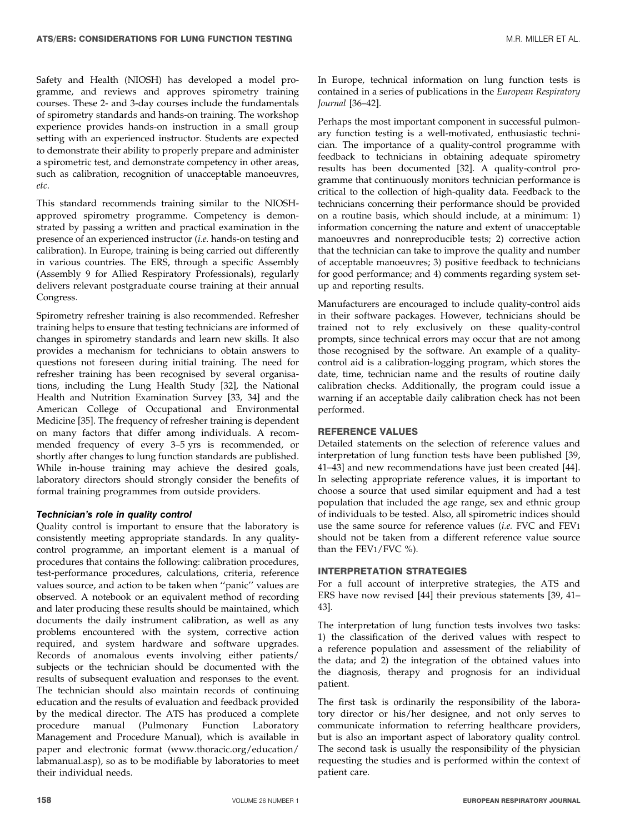Safety and Health (NIOSH) has developed a model programme, and reviews and approves spirometry training courses. These 2- and 3-day courses include the fundamentals of spirometry standards and hands-on training. The workshop experience provides hands-on instruction in a small group setting with an experienced instructor. Students are expected to demonstrate their ability to properly prepare and administer a spirometric test, and demonstrate competency in other areas, such as calibration, recognition of unacceptable manoeuvres,  $\rho$ tc.

This standard recommends training similar to the NIOSHapproved spirometry programme. Competency is demonstrated by passing a written and practical examination in the presence of an experienced instructor (i.e. hands-on testing and calibration). In Europe, training is being carried out differently in various countries. The ERS, through a specific Assembly (Assembly 9 for Allied Respiratory Professionals), regularly delivers relevant postgraduate course training at their annual Congress.

Spirometry refresher training is also recommended. Refresher training helps to ensure that testing technicians are informed of changes in spirometry standards and learn new skills. It also provides a mechanism for technicians to obtain answers to questions not foreseen during initial training. The need for refresher training has been recognised by several organisations, including the Lung Health Study [32], the National Health and Nutrition Examination Survey [33, 34] and the American College of Occupational and Environmental Medicine [35]. The frequency of refresher training is dependent on many factors that differ among individuals. A recommended frequency of every 3–5 yrs is recommended, or shortly after changes to lung function standards are published. While in-house training may achieve the desired goals, laboratory directors should strongly consider the benefits of formal training programmes from outside providers.

#### Technician's role in quality control

Quality control is important to ensure that the laboratory is consistently meeting appropriate standards. In any qualitycontrol programme, an important element is a manual of procedures that contains the following: calibration procedures, test-performance procedures, calculations, criteria, reference values source, and action to be taken when ''panic'' values are observed. A notebook or an equivalent method of recording and later producing these results should be maintained, which documents the daily instrument calibration, as well as any problems encountered with the system, corrective action required, and system hardware and software upgrades. Records of anomalous events involving either patients/ subjects or the technician should be documented with the results of subsequent evaluation and responses to the event. The technician should also maintain records of continuing education and the results of evaluation and feedback provided by the medical director. The ATS has produced a complete procedure manual (Pulmonary Function Laboratory Management and Procedure Manual), which is available in paper and electronic format (www.thoracic.org/education/ labmanual.asp), so as to be modifiable by laboratories to meet their individual needs.

In Europe, technical information on lung function tests is contained in a series of publications in the European Respiratory Journal [36–42].

Perhaps the most important component in successful pulmonary function testing is a well-motivated, enthusiastic technician. The importance of a quality-control programme with feedback to technicians in obtaining adequate spirometry results has been documented [32]. A quality-control programme that continuously monitors technician performance is critical to the collection of high-quality data. Feedback to the technicians concerning their performance should be provided on a routine basis, which should include, at a minimum: 1) information concerning the nature and extent of unacceptable manoeuvres and nonreproducible tests; 2) corrective action that the technician can take to improve the quality and number of acceptable manoeuvres; 3) positive feedback to technicians for good performance; and 4) comments regarding system setup and reporting results.

Manufacturers are encouraged to include quality-control aids in their software packages. However, technicians should be trained not to rely exclusively on these quality-control prompts, since technical errors may occur that are not among those recognised by the software. An example of a qualitycontrol aid is a calibration-logging program, which stores the date, time, technician name and the results of routine daily calibration checks. Additionally, the program could issue a warning if an acceptable daily calibration check has not been performed.

#### REFERENCE VALUES

Detailed statements on the selection of reference values and interpretation of lung function tests have been published [39, 41–43] and new recommendations have just been created [44]. In selecting appropriate reference values, it is important to choose a source that used similar equipment and had a test population that included the age range, sex and ethnic group of individuals to be tested. Also, all spirometric indices should use the same source for reference values (i.e. FVC and FEV1 should not be taken from a different reference value source than the FEV1/FVC %).

#### INTERPRETATION STRATEGIES

For a full account of interpretive strategies, the ATS and ERS have now revised [44] their previous statements [39, 41– 43].

The interpretation of lung function tests involves two tasks: 1) the classification of the derived values with respect to a reference population and assessment of the reliability of the data; and 2) the integration of the obtained values into the diagnosis, therapy and prognosis for an individual patient.

The first task is ordinarily the responsibility of the laboratory director or his/her designee, and not only serves to communicate information to referring healthcare providers, but is also an important aspect of laboratory quality control. The second task is usually the responsibility of the physician requesting the studies and is performed within the context of patient care.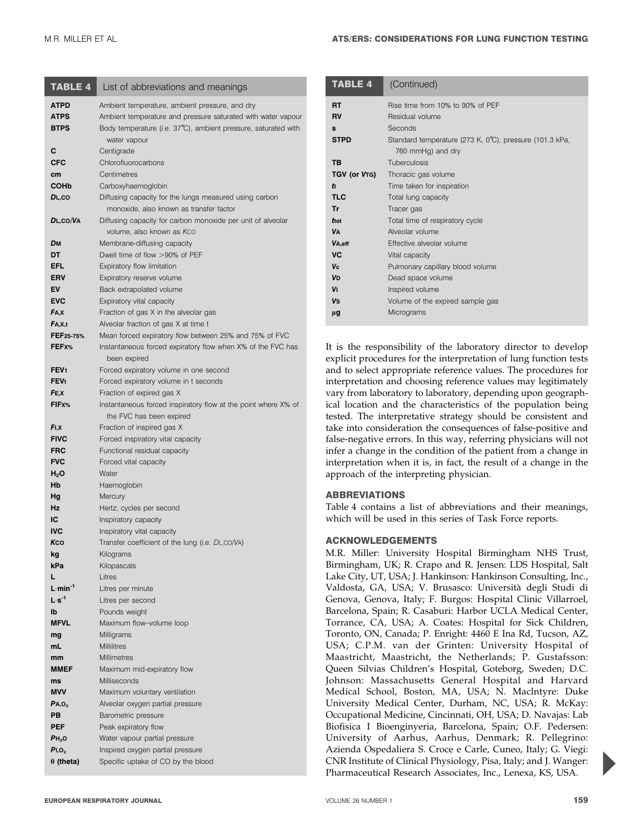| <b>TABLE 4</b>               | List of abbreviations and meanings                                                         |
|------------------------------|--------------------------------------------------------------------------------------------|
| <b>ATPD</b>                  | Ambient temperature, ambient pressure, and dry                                             |
| ATPS                         | Ambient temperature and pressure saturated with water vapour                               |
| <b>BTPS</b>                  | Body temperature (i.e. 37°C), ambient pressure, saturated with<br>water vapour             |
| С                            | Centigrade                                                                                 |
| <b>CFC</b>                   | Chlorofluorocarbons                                                                        |
| cm                           | Centimetres                                                                                |
| СОНЬ                         | Carboxyhaemoglobin                                                                         |
| DL,CO                        | Diffusing capacity for the lungs measured using carbon                                     |
| DL.CO/VA                     | monoxide, also known as transfer factor                                                    |
|                              | Diffusing capacity for carbon monoxide per unit of alveolar<br>volume, also known as Kco   |
| Dм                           | Membrane-diffusing capacity                                                                |
| DT                           | Dwell time of flow >90% of PEF                                                             |
| EFL                          | Expiratory flow limitation                                                                 |
| ERV                          | Expiratory reserve volume                                                                  |
| EV                           | Back extrapolated volume                                                                   |
| <b>EVC</b>                   | Expiratory vital capacity                                                                  |
| FA.X                         | Fraction of gas X in the alveolar gas                                                      |
| FA, X, t                     | Alveolar fraction of gas X at time t                                                       |
| FEF <sub>25-75</sub> %       | Mean forced expiratory flow between 25% and 75% of FVC                                     |
| FEFx%                        | Instantaneous forced expiratory flow when X% of the FVC has<br>been expired                |
| FEV <sub>1</sub>             | Forced expiratory volume in one second                                                     |
| <b>FEVt</b>                  | Forced expiratory volume in t seconds                                                      |
| FE.X                         | Fraction of expired gas X                                                                  |
| FIFX%                        | Instantaneous forced inspiratory flow at the point where X% of<br>the FVC has been expired |
| F <sub>I,X</sub>             | Fraction of inspired gas X                                                                 |
| <b>FIVC</b>                  | Forced inspiratory vital capacity                                                          |
| FRC                          | Functional residual capacity                                                               |
| <b>FVC</b>                   | Forced vital capacity<br>Water                                                             |
| H <sub>2</sub> O<br>Hb       | Haemoglobin                                                                                |
| Hg                           | Mercury                                                                                    |
| Hz                           | Hertz; cycles per second                                                                   |
| ΙC                           | Inspiratory capacity                                                                       |
| IVC                          | Inspiratory vital capacity                                                                 |
| Kco                          | Transfer coefficient of the lung (i.e. DL,CO/VA)                                           |
| kg                           | Kilograms                                                                                  |
| kPa                          | Kilopascals                                                                                |
| L                            | Litres                                                                                     |
| $L$ min <sup>-1</sup>        | Litres per minute                                                                          |
| $L·s-1$                      | Litres per second                                                                          |
| lb                           | Pounds weight                                                                              |
| <b>MFVL</b>                  | Maximum flow-volume loop                                                                   |
| mg                           | Milligrams<br><b>Millilitres</b>                                                           |
| mL<br>mm                     | <b>Millimetres</b>                                                                         |
| MMEF                         | Maximum mid-expiratory flow                                                                |
| ms                           | Milliseconds                                                                               |
| MVV                          | Maximum voluntary ventilation                                                              |
| PA, O <sub>2</sub>           | Alveolar oxygen partial pressure                                                           |
| PВ                           | Barometric pressure                                                                        |
| PEF                          | Peak expiratory flow                                                                       |
| $P_{H_2O}$                   | Water vapour partial pressure                                                              |
| P <sub>1,0<sub>2</sub></sub> | Inspired oxygen partial pressure                                                           |
| $\theta$ (theta)             | Specific uptake of CO by the blood                                                         |

| <b>TABLE 4</b> | (Continued)                                                                  |
|----------------|------------------------------------------------------------------------------|
| <b>RT</b>      | Rise time from 10% to 90% of PEF                                             |
| <b>RV</b>      | Residual volume                                                              |
| s              | Seconds                                                                      |
| <b>STPD</b>    | Standard temperature (273 K, 0°C), pressure (101.3 kPa,<br>760 mmHg) and dry |
| <b>TB</b>      | Tuberculosis                                                                 |
| TGV (or VTG)   | Thoracic gas volume                                                          |
| tı             | Time taken for inspiration                                                   |
| <b>TLC</b>     | Total lung capacity                                                          |
| Tr             | Tracer gas                                                                   |
| ttot           | Total time of respiratory cycle                                              |
| <b>VA</b>      | Alveolar volume                                                              |
| VA.eff         | Effective alveolar volume                                                    |
| <b>VC</b>      | Vital capacity                                                               |
| $V_c$          | Pulmonary capillary blood volume                                             |
| <b>VD</b>      | Dead space volume                                                            |
| VI             | Inspired volume                                                              |
| Vs             | Volume of the expired sample gas                                             |
| μg             | Micrograms                                                                   |

It is the responsibility of the laboratory director to develop explicit procedures for the interpretation of lung function tests and to select appropriate reference values. The procedures for interpretation and choosing reference values may legitimately vary from laboratory to laboratory, depending upon geographical location and the characteristics of the population being tested. The interpretative strategy should be consistent and take into consideration the consequences of false-positive and false-negative errors. In this way, referring physicians will not infer a change in the condition of the patient from a change in interpretation when it is, in fact, the result of a change in the approach of the interpreting physician.

#### ABBREVIATIONS

Table 4 contains a list of abbreviations and their meanings, which will be used in this series of Task Force reports.

#### ACKNOWLEDGEMENTS

M.R. Miller: University Hospital Birmingham NHS Trust, Birmingham, UK; R. Crapo and R. Jensen: LDS Hospital, Salt Lake City, UT, USA; J. Hankinson: Hankinson Consulting, Inc., Valdosta, GA, USA; V. Brusasco: Universita` degli Studi di Genova, Genova, Italy; F. Burgos: Hospital Clinic Villarroel, Barcelona, Spain; R. Casaburi: Harbor UCLA Medical Center, Torrance, CA, USA; A. Coates: Hospital for Sick Children, Toronto, ON, Canada; P. Enright: 4460 E Ina Rd, Tucson, AZ, USA; C.P.M. van der Grinten: University Hospital of Maastricht, Maastricht, the Netherlands; P. Gustafsson: Queen Silvias Children's Hospital, Goteborg, Sweden; D.C. Johnson: Massachusetts General Hospital and Harvard Medical School, Boston, MA, USA; N. Maclntyre: Duke University Medical Center, Durham, NC, USA; R. McKay: Occupational Medicine, Cincinnati, OH, USA; D. Navajas: Lab Biofisica I Bioenginyeria, Barcelona, Spain; O.F. Pedersen: University of Aarhus, Aarhus, Denmark; R. Pellegrino: Azienda Ospedaliera S. Croce e Carle, Cuneo, Italy; G. Viegi: CNR Institute of Clinical Physiology, Pisa, Italy; and J. Wanger: Pharmaceutical Research Associates, Inc., Lenexa, KS, USA.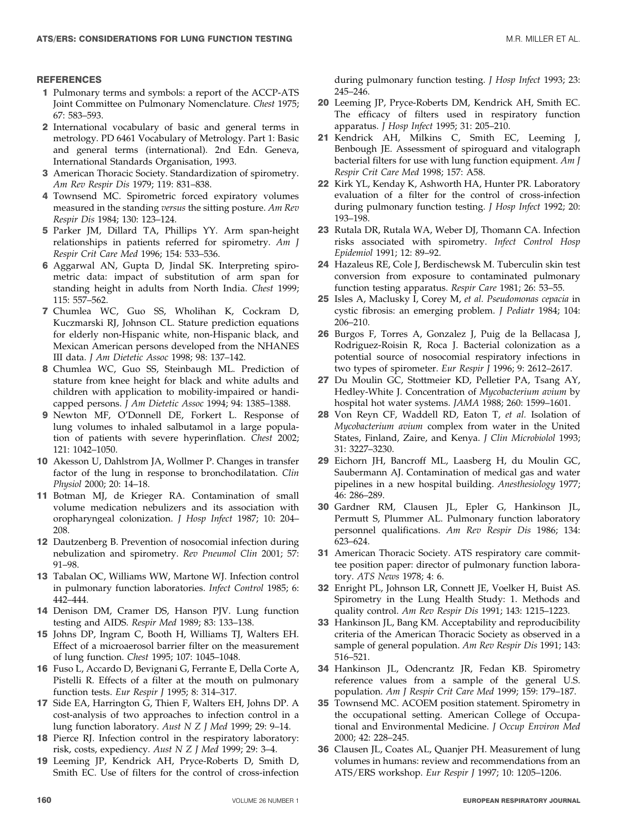#### REFERENCES

- 1 Pulmonary terms and symbols: a report of the ACCP-ATS Joint Committee on Pulmonary Nomenclature. Chest 1975; 67: 583–593.
- 2 International vocabulary of basic and general terms in metrology. PD 6461 Vocabulary of Metrology. Part 1: Basic and general terms (international). 2nd Edn. Geneva, International Standards Organisation, 1993.
- 3 American Thoracic Society. Standardization of spirometry. Am Rev Respir Dis 1979; 119: 831–838.
- 4 Townsend MC. Spirometric forced expiratory volumes measured in the standing versus the sitting posture. Am Rev Respir Dis 1984; 130: 123–124.
- 5 Parker JM, Dillard TA, Phillips YY. Arm span-height relationships in patients referred for spirometry. Am J Respir Crit Care Med 1996; 154: 533–536.
- 6 Aggarwal AN, Gupta D, Jindal SK. Interpreting spirometric data: impact of substitution of arm span for standing height in adults from North India. Chest 1999; 115: 557–562.
- 7 Chumlea WC, Guo SS, Wholihan K, Cockram D, Kuczmarski RJ, Johnson CL. Stature prediction equations for elderly non-Hispanic white, non-Hispanic black, and Mexican American persons developed from the NHANES III data. J Am Dietetic Assoc 1998; 98: 137–142.
- 8 Chumlea WC, Guo SS, Steinbaugh ML. Prediction of stature from knee height for black and white adults and children with application to mobility-impaired or handicapped persons. J Am Dietetic Assoc 1994; 94: 1385-1388.
- 9 Newton MF, O'Donnell DE, Forkert L. Response of lung volumes to inhaled salbutamol in a large population of patients with severe hyperinflation. Chest 2002; 121: 1042–1050.
- 10 Akesson U, Dahlstrom JA, Wollmer P. Changes in transfer factor of the lung in response to bronchodilatation. Clin Physiol 2000; 20: 14–18.
- 11 Botman MJ, de Krieger RA. Contamination of small volume medication nebulizers and its association with oropharyngeal colonization. J Hosp Infect 1987; 10: 204– 208.
- 12 Dautzenberg B. Prevention of nosocomial infection during nebulization and spirometry. Rev Pneumol Clin 2001; 57: 91–98.
- 13 Tabalan OC, Williams WW, Martone WJ. Infection control in pulmonary function laboratories. Infect Control 1985; 6: 442–444.
- 14 Denison DM, Cramer DS, Hanson PJV. Lung function testing and AIDS. Respir Med 1989; 83: 133–138.
- 15 Johns DP, Ingram C, Booth H, Williams TJ, Walters EH. Effect of a microaerosol barrier filter on the measurement of lung function. Chest 1995; 107: 1045–1048.
- 16 Fuso L, Accardo D, Bevignani G, Ferrante E, Della Corte A, Pistelli R. Effects of a filter at the mouth on pulmonary function tests. Eur Respir J 1995; 8: 314–317.
- 17 Side EA, Harrington G, Thien F, Walters EH, Johns DP. A cost-analysis of two approaches to infection control in a lung function laboratory. Aust N Z J Med 1999; 29: 9–14.
- 18 Pierce RJ. Infection control in the respiratory laboratory: risk, costs, expediency. Aust N Z J Med 1999; 29: 3–4.
- 19 Leeming JP, Kendrick AH, Pryce-Roberts D, Smith D, Smith EC. Use of filters for the control of cross-infection

during pulmonary function testing. J Hosp Infect 1993; 23: 245–246.

- 20 Leeming JP, Pryce-Roberts DM, Kendrick AH, Smith EC. The efficacy of filters used in respiratory function apparatus. J Hosp Infect 1995; 31: 205–210.
- 21 Kendrick AH, Milkins C, Smith EC, Leeming J, Benbough JE. Assessment of spiroguard and vitalograph bacterial filters for use with lung function equipment. Am J Respir Crit Care Med 1998; 157: A58.
- 22 Kirk YL, Kenday K, Ashworth HA, Hunter PR. Laboratory evaluation of a filter for the control of cross-infection during pulmonary function testing. J Hosp Infect 1992; 20: 193–198.
- 23 Rutala DR, Rutala WA, Weber DJ, Thomann CA. Infection risks associated with spirometry. Infect Control Hosp Epidemiol 1991; 12: 89–92.
- 24 Hazaleus RE, Cole J, Berdischewsk M. Tuberculin skin test conversion from exposure to contaminated pulmonary function testing apparatus. Respir Care 1981; 26: 53–55.
- 25 Isles A, Maclusky I, Corey M, et al. Pseudomonas cepacia in cystic fibrosis: an emerging problem. J Pediatr 1984; 104: 206–210.
- 26 Burgos F, Torres A, Gonzalez J, Puig de la Bellacasa J, Rodriguez-Roisin R, Roca J. Bacterial colonization as a potential source of nosocomial respiratory infections in two types of spirometer. Eur Respir J 1996; 9: 2612–2617.
- 27 Du Moulin GC, Stottmeier KD, Pelletier PA, Tsang AY, Hedley-White J. Concentration of Mycobacterium avium by hospital hot water systems. JAMA 1988; 260: 1599–1601.
- 28 Von Reyn CF, Waddell RD, Eaton T, et al. Isolation of Mycobacterium avium complex from water in the United States, Finland, Zaire, and Kenya. J Clin Microbiolol 1993; 31: 3227–3230.
- 29 Eichorn JH, Bancroff ML, Laasberg H, du Moulin GC, Saubermann AJ. Contamination of medical gas and water pipelines in a new hospital building. Anesthesiology 1977; 46: 286–289.
- 30 Gardner RM, Clausen JL, Epler G, Hankinson JL, Permutt S, Plummer AL. Pulmonary function laboratory personnel qualifications. Am Rev Respir Dis 1986; 134: 623–624.
- 31 American Thoracic Society. ATS respiratory care committee position paper: director of pulmonary function laboratory. ATS News 1978; 4: 6.
- 32 Enright PL, Johnson LR, Connett JE, Voelker H, Buist AS. Spirometry in the Lung Health Study: 1. Methods and quality control. Am Rev Respir Dis 1991; 143: 1215–1223.
- 33 Hankinson JL, Bang KM. Acceptability and reproducibility criteria of the American Thoracic Society as observed in a sample of general population. Am Rev Respir Dis 1991; 143: 516–521.
- 34 Hankinson JL, Odencrantz JR, Fedan KB. Spirometry reference values from a sample of the general U.S. population. Am J Respir Crit Care Med 1999; 159: 179–187.
- 35 Townsend MC. ACOEM position statement. Spirometry in the occupational setting. American College of Occupational and Environmental Medicine. J Occup Environ Med 2000; 42: 228–245.
- 36 Clausen JL, Coates AL, Quanjer PH. Measurement of lung volumes in humans: review and recommendations from an ATS/ERS workshop. Eur Respir J 1997; 10: 1205–1206.